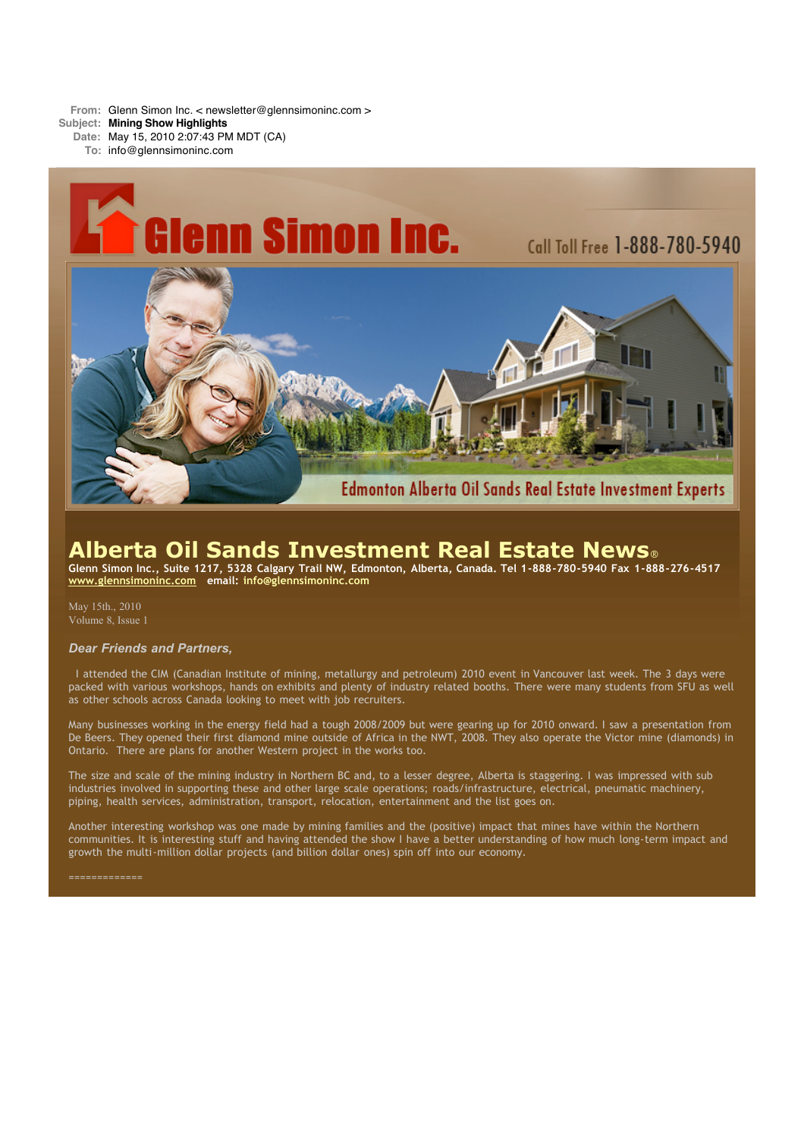**From:** Glenn Simon Inc. < newsletter@glennsimoninc.com >

**Subject: Mining Show Highlights**

**Date:** May 15, 2010 2:07:43 PM MDT (CA)

**To:** info@glennsimoninc.com



# **Alberta Oil Sands Investment Real Estate News**®

Glenn Simon Inc., Suite 1217, 5328 Calgary Trail NW, Edmonton, Alberta, Canada. Tel 1-888-780-5940 Fax 1-888-276-4517 **[www.glennsimoninc.com](http://www.glennsimoninc.com/) email: [info@glennsimoninc.com](mailto:info@glennsimoninc.com)**

May 15th., 2010 Volume 8, Issue 1

# *Dear Friends and Partners,*

I attended the CIM (Canadian Institute of mining, metallurgy and petroleum) 2010 event in Vancouver last week. The 3 days were packed with various workshops, hands on exhibits and plenty of industry related booths. There were many students from SFU as well as other schools across Canada looking to meet with job recruiters.

Many businesses working in the energy field had a tough 2008/2009 but were gearing up for 2010 onward. I saw a presentation from De Beers. They opened their first diamond mine outside of Africa in the NWT, 2008. They also operate the Victor mine (diamonds) in Ontario. There are plans for another Western project in the works too.

The size and scale of the mining industry in Northern BC and, to a lesser degree, Alberta is staggering. I was impressed with sub industries involved in supporting these and other large scale operations; roads/infrastructure, electrical, pneumatic machinery, piping, health services, administration, transport, relocation, entertainment and the list goes on.

Another interesting workshop was one made by mining families and the (positive) impact that mines have within the Northern communities. It is interesting stuff and having attended the show I have a better understanding of how much long-term impact and growth the multi-million dollar projects (and billion dollar ones) spin off into our economy.

#### =============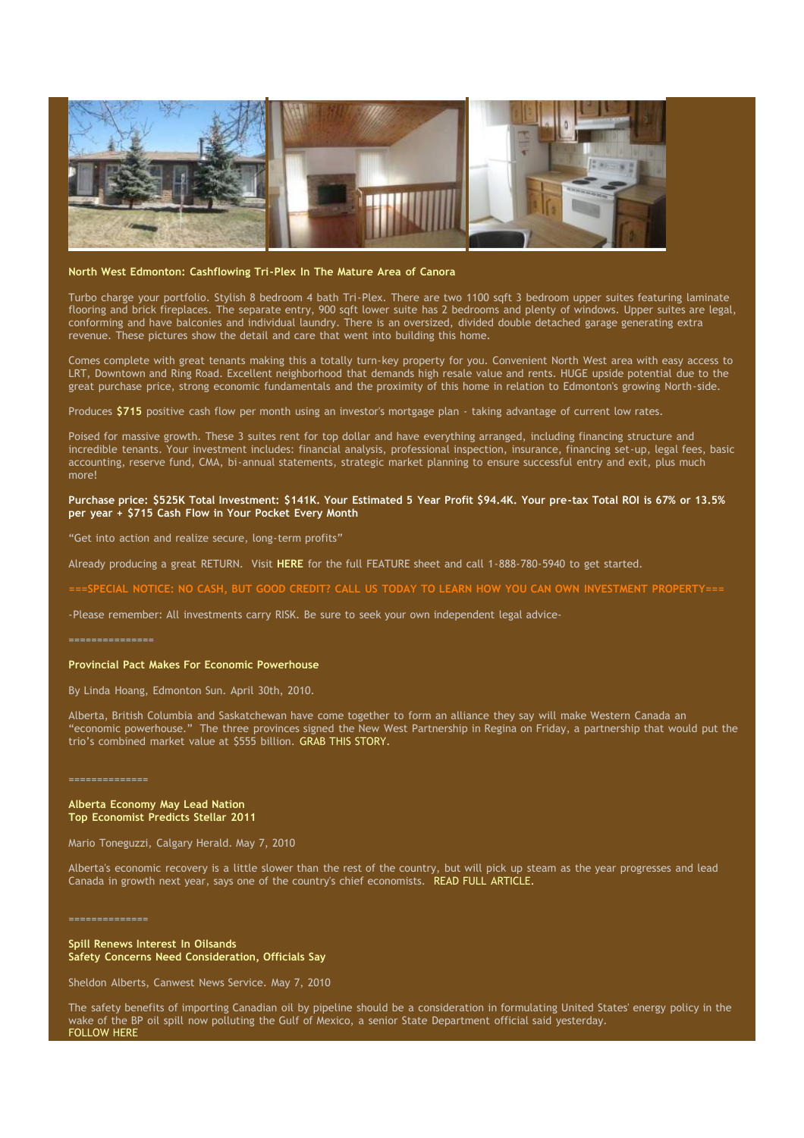

#### **North West Edmonton: [Cashflowing](http://www.glennsimoninc.com/featured_detail.php?id=71) Tri-Plex In The Mature Area of Canora**

Turbo charge your portfolio. Stylish 8 bedroom 4 bath Tri-Plex. There are two 1100 sqft 3 bedroom upper suites featuring laminate flooring and brick fireplaces. The separate entry, 900 sqft lower suite has 2 bedrooms and plenty of windows. Upper suites are legal, conforming and have balconies and individual laundry. There is an oversized, divided double detached garage generating extra revenue. These pictures show the detail and care that went into building this home.

Comes complete with great tenants making this a totally turn-key property for you. Convenient North West area with easy access to LRT, Downtown and Ring Road. Excellent neighborhood that demands high resale value and rents. HUGE upside potential due to the great purchase price, strong economic fundamentals and the proximity of this home in relation to Edmonton's growing North-side.

Produces **\$715** positive cash flow per month using an investor's mortgage plan - taking advantage of current low rates.

Poised for massive growth. These 3 suites rent for top dollar and have everything arranged, including financing structure and incredible tenants. Your investment includes: financial analysis, professional inspection, insurance, financing set-up, legal fees, basic accounting, reserve fund, CMA, bi-annual statements, strategic market planning to ensure successful entry and exit, plus much more!

### Purchase price: \$525K Total [Investment:](http://www.glennsimoninc.com/featured_detail.php?id=71) \$141K. Your Estimated 5 Year Profit \$94.4K. Your pre-tax Total ROI is 67% or 13.5% **per year + \$715 Cash Flow in Your Pocket Every Month**

"Get into action and realize secure, long-term profits"

Already producing a great RETURN. Visit **[HERE](http://www.glennsimoninc.com/upload/1272162525_quikrpt.canosa.pdf)** for the full FEATURE sheet and call 1-888-780-5940 to get started.

===SPECIAL NOTICE: NO CASH. BUT GOOD CREDIT? CALL US TODAY TO LEARN HOW YOU CAN OWN INVESTMENT PROPERTY=

-Please remember: All investments carry RISK. Be sure to seek your own independent legal advice-

#### ===============

## **Provincial Pact Makes For Economic Powerhouse**

By Linda Hoang, Edmonton Sun. April 30th, 2010.

Alberta, British Columbia and Saskatchewan have come together to form an alliance they say will make Western Canada an "economic powerhouse." The three provinces signed the New West Partnership in Regina on Friday, a partnership that would put the trio's combined market value at \$555 billion. GRAB THIS [STORY.](http://www.edmontonsun.com/news/alberta/2010/04/30/13783676.html)

==============

#### **Alberta Economy May Lead Nation Top Economist Predicts Stellar 2011**

Mario Toneguzzi, Calgary Herald. May 7, 2010

Alberta's economic recovery is a little slower than the rest of the country, but will pick up steam as the year progresses and lead Canada in growth next year, says one of the country's chief economists. READ FULL [ARTICLE.](http://www.calgaryherald.com/business/Alberta+economy+lead+nation/2997517/story.html#ixzz0o1ffeg60)

==============

**Spill Renews Interest In Oilsands Safety Concerns Need Consideration, Officials Say**

Sheldon Alberts, Canwest News Service. May 7, 2010

The safety benefits of importing Canadian oil by pipeline should be a consideration in formulating United States' energy policy in the wake of the BP oil spill now polluting the Gulf of Mexico, a senior State Department official said yesterday. [FOLLOW](http://www.montrealgazette.com/business/Spill+renews+interest+oilsands/2996367/story.html#ixzz0o1hdNNJj) HERE